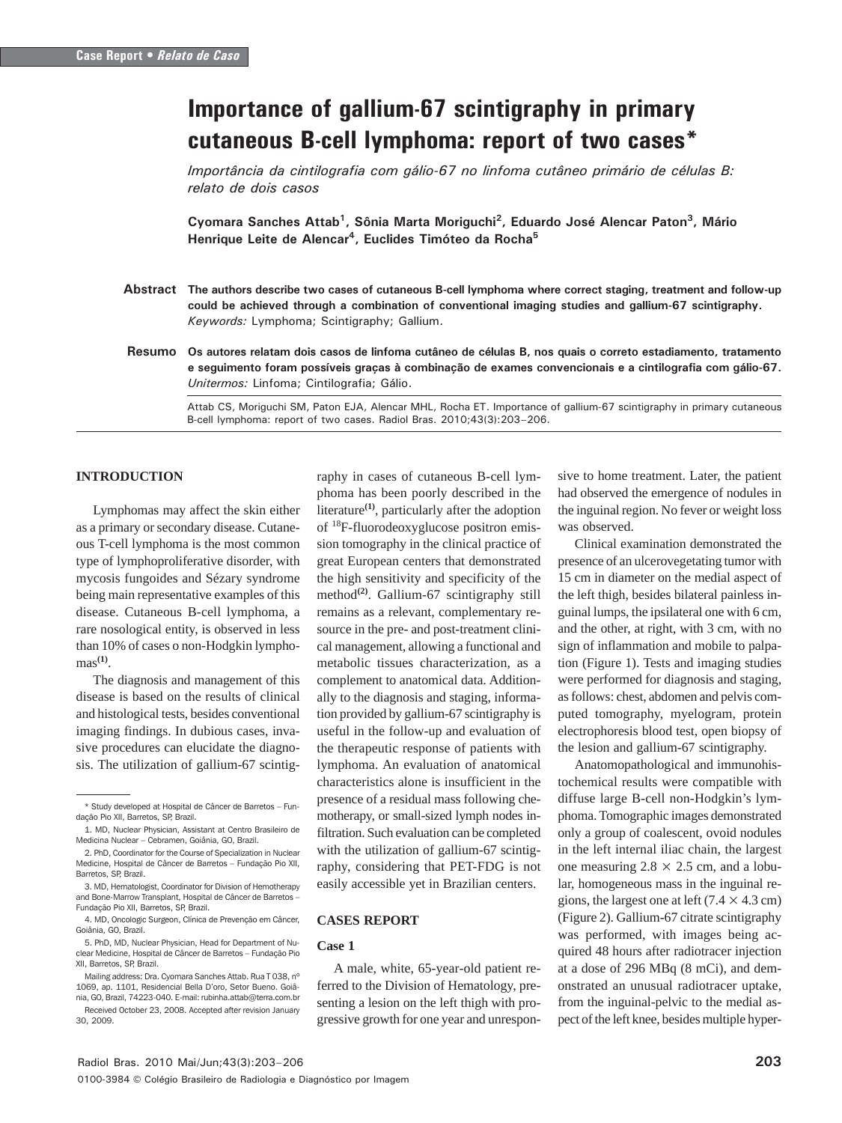# Importance of gallium-67 scintigraphy in primary cutaneous B-cell lymphoma: report of two cases\*

Importância da cintilografia com gálio-67 no linfoma cutâneo primário de células B: relato de dois casos

Cyomara Sanches Attab<sup>1</sup>, Sônia Marta Moriguchi<sup>2</sup>, Eduardo José Alencar Paton<sup>3</sup>, Mário Henrique Leite de Alencar<sup>4</sup>, Euclides Timóteo da Rocha<sup>5</sup>

- Abstract The authors describe two cases of cutaneous B-cell lymphoma where correct staging, treatment and follow-up could be achieved through a combination of conventional imaging studies and gallium-67 scintigraphy. Keywords: Lymphoma; Scintigraphy; Gallium.
- Os autores relatam dois casos de linfoma cutâneo de células B, nos quais o correto estadiamento, tratamento e seguimento foram possíveis graças à combinação de exames convencionais e a cintilografia com gálio-67. Unitermos: Linfoma; Cintilografia; Gálio. Resumo

Attab CS, Moriguchi SM, Paton EJA, Alencar MHL, Rocha ET. Importance of gallium-67 scintigraphy in primary cutaneous B-cell lymphoma: report of two cases. Radiol Bras. 2010;43(3):203–206.

## **INTRODUCTION**

Lymphomas may affect the skin either as a primary or secondary disease. Cutaneous T-cell lymphoma is the most common type of lymphoproliferative disorder, with mycosis fungoides and Sézary syndrome being main representative examples of this disease. Cutaneous B-cell lymphoma, a rare nosological entity, is observed in less than 10% of cases o non-Hodgkin lymphomas**(1)**.

The diagnosis and management of this disease is based on the results of clinical and histological tests, besides conventional imaging findings. In dubious cases, invasive procedures can elucidate the diagnosis. The utilization of gallium-67 scintigraphy in cases of cutaneous B-cell lymphoma has been poorly described in the literature**(1)**, particularly after the adoption of 18F-fluorodeoxyglucose positron emission tomography in the clinical practice of great European centers that demonstrated the high sensitivity and specificity of the method<sup>(2)</sup>. Gallium-67 scintigraphy still remains as a relevant, complementary resource in the pre- and post-treatment clinical management, allowing a functional and metabolic tissues characterization, as a complement to anatomical data. Additionally to the diagnosis and staging, information provided by gallium-67 scintigraphy is useful in the follow-up and evaluation of the therapeutic response of patients with lymphoma. An evaluation of anatomical characteristics alone is insufficient in the presence of a residual mass following chemotherapy, or small-sized lymph nodes infiltration. Such evaluation can be completed with the utilization of gallium-67 scintigraphy, considering that PET-FDG is not easily accessible yet in Brazilian centers.

#### **CASES REPORT**

#### **Case 1**

A male, white, 65-year-old patient referred to the Division of Hematology, presenting a lesion on the left thigh with progressive growth for one year and unresponsive to home treatment. Later, the patient had observed the emergence of nodules in the inguinal region. No fever or weight loss was observed.

Clinical examination demonstrated the presence of an ulcerovegetating tumor with 15 cm in diameter on the medial aspect of the left thigh, besides bilateral painless inguinal lumps, the ipsilateral one with 6 cm, and the other, at right, with 3 cm, with no sign of inflammation and mobile to palpation (Figure 1). Tests and imaging studies were performed for diagnosis and staging, as follows: chest, abdomen and pelvis computed tomography, myelogram, protein electrophoresis blood test, open biopsy of the lesion and gallium-67 scintigraphy.

Anatomopathological and immunohistochemical results were compatible with diffuse large B-cell non-Hodgkin's lymphoma. Tomographic images demonstrated only a group of coalescent, ovoid nodules in the left internal iliac chain, the largest one measuring  $2.8 \times 2.5$  cm, and a lobular, homogeneous mass in the inguinal regions, the largest one at left  $(7.4 \times 4.3 \text{ cm})$ (Figure 2). Gallium-67 citrate scintigraphy was performed, with images being acquired 48 hours after radiotracer injection at a dose of 296 MBq (8 mCi), and demonstrated an unusual radiotracer uptake, from the inguinal-pelvic to the medial aspect of the left knee, besides multiple hyper-

<sup>\*</sup> Study developed at Hospital de Câncer de Barretos – Fundação Pio XII, Barretos, SP, Brazil.

<sup>1.</sup> MD, Nuclear Physician, Assistant at Centro Brasileiro de Medicina Nuclear – Cebramen, Goiânia, GO, Brazil.

<sup>2.</sup> PhD, Coordinator for the Course of Specialization in Nuclear Medicine, Hospital de Câncer de Barretos – Fundação Pio XII, Barretos, SP, Brazil.

<sup>3.</sup> MD, Hematologist, Coordinator for Division of Hemotherapy and Bone-Marrow Transplant, Hospital de Câncer de Barretos – Fundação Pio XII, Barretos, SP, Brazil.

<sup>4.</sup> MD, Oncologic Surgeon, Clínica de Prevenção em Câncer, Goiânia, GO, Brazil.

<sup>5.</sup> PhD, MD, Nuclear Physician, Head for Department of Nuclear Medicine, Hospital de Câncer de Barretos – Fundação Pio XII, Barretos, SP, Brazil.

Mailing address: Dra. Cyomara Sanches Attab. Rua T 038, nº 1069, ap. 1101, Residencial Bella D'oro, Setor Bueno. Goiânia, GO, Brazil, 74223-040. E-mail: rubinha.attab@terra.com.br Received October 23, 2008. Accepted after revision January 30, 2009.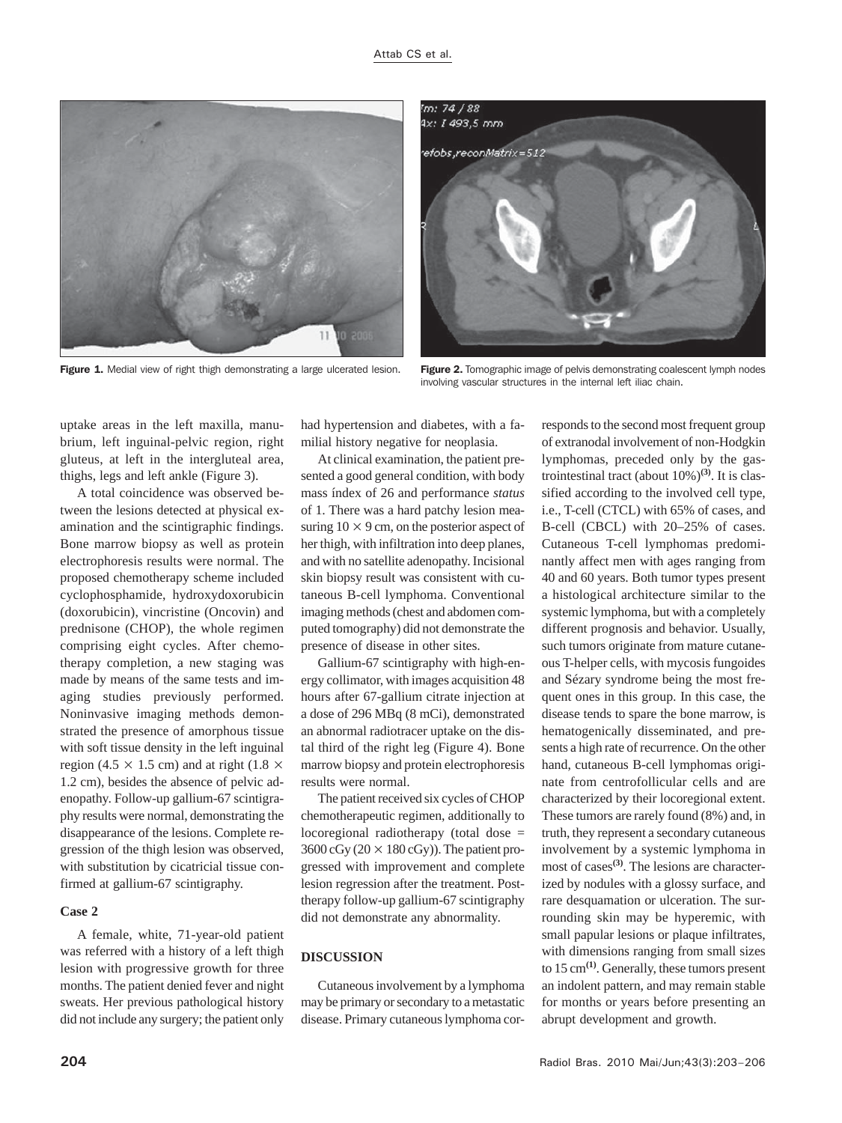



Figure 1. Medial view of right thigh demonstrating a large ulcerated lesion. Figure 2. Tomographic image of pelvis demonstrating coalescent lymph nodes involving vascular structures in the internal left iliac chain.

uptake areas in the left maxilla, manubrium, left inguinal-pelvic region, right gluteus, at left in the intergluteal area, thighs, legs and left ankle (Figure 3).

A total coincidence was observed between the lesions detected at physical examination and the scintigraphic findings. Bone marrow biopsy as well as protein electrophoresis results were normal. The proposed chemotherapy scheme included cyclophosphamide, hydroxydoxorubicin (doxorubicin), vincristine (Oncovin) and prednisone (CHOP), the whole regimen comprising eight cycles. After chemotherapy completion, a new staging was made by means of the same tests and imaging studies previously performed. Noninvasive imaging methods demonstrated the presence of amorphous tissue with soft tissue density in the left inguinal region (4.5  $\times$  1.5 cm) and at right (1.8  $\times$ 1.2 cm), besides the absence of pelvic adenopathy. Follow-up gallium-67 scintigraphy results were normal, demonstrating the disappearance of the lesions. Complete regression of the thigh lesion was observed, with substitution by cicatricial tissue confirmed at gallium-67 scintigraphy.

### **Case 2**

A female, white, 71-year-old patient was referred with a history of a left thigh lesion with progressive growth for three months. The patient denied fever and night sweats. Her previous pathological history did not include any surgery; the patient only

had hypertension and diabetes, with a familial history negative for neoplasia.

At clinical examination, the patient presented a good general condition, with body mass índex of 26 and performance *status* of 1. There was a hard patchy lesion measuring  $10 \times 9$  cm, on the posterior aspect of her thigh, with infiltration into deep planes, and with no satellite adenopathy. Incisional skin biopsy result was consistent with cutaneous B-cell lymphoma. Conventional imaging methods (chest and abdomen computed tomography) did not demonstrate the presence of disease in other sites.

Gallium-67 scintigraphy with high-energy collimator, with images acquisition 48 hours after 67-gallium citrate injection at a dose of 296 MBq (8 mCi), demonstrated an abnormal radiotracer uptake on the distal third of the right leg (Figure 4). Bone marrow biopsy and protein electrophoresis results were normal.

The patient received six cycles of CHOP chemotherapeutic regimen, additionally to locoregional radiotherapy (total dose =  $3600 \text{ cGy} (20 \times 180 \text{ cGy})$ . The patient progressed with improvement and complete lesion regression after the treatment. Posttherapy follow-up gallium-67 scintigraphy did not demonstrate any abnormality.

# **DISCUSSION**

Cutaneous involvement by a lymphoma may be primary or secondary to a metastatic disease. Primary cutaneous lymphoma corresponds to the second most frequent group of extranodal involvement of non-Hodgkin lymphomas, preceded only by the gastrointestinal tract (about  $10\%$ )<sup>(3)</sup>. It is classified according to the involved cell type, i.e., T-cell (CTCL) with 65% of cases, and B-cell (CBCL) with 20–25% of cases. Cutaneous T-cell lymphomas predominantly affect men with ages ranging from 40 and 60 years. Both tumor types present a histological architecture similar to the systemic lymphoma, but with a completely different prognosis and behavior. Usually, such tumors originate from mature cutaneous T-helper cells, with mycosis fungoides and Sézary syndrome being the most frequent ones in this group. In this case, the disease tends to spare the bone marrow, is hematogenically disseminated, and presents a high rate of recurrence. On the other hand, cutaneous B-cell lymphomas originate from centrofollicular cells and are characterized by their locoregional extent. These tumors are rarely found (8%) and, in truth, they represent a secondary cutaneous involvement by a systemic lymphoma in most of cases**(3)**. The lesions are characterized by nodules with a glossy surface, and rare desquamation or ulceration. The surrounding skin may be hyperemic, with small papular lesions or plaque infiltrates, with dimensions ranging from small sizes to 15 cm**(1)**. Generally, these tumors present an indolent pattern, and may remain stable for months or years before presenting an abrupt development and growth.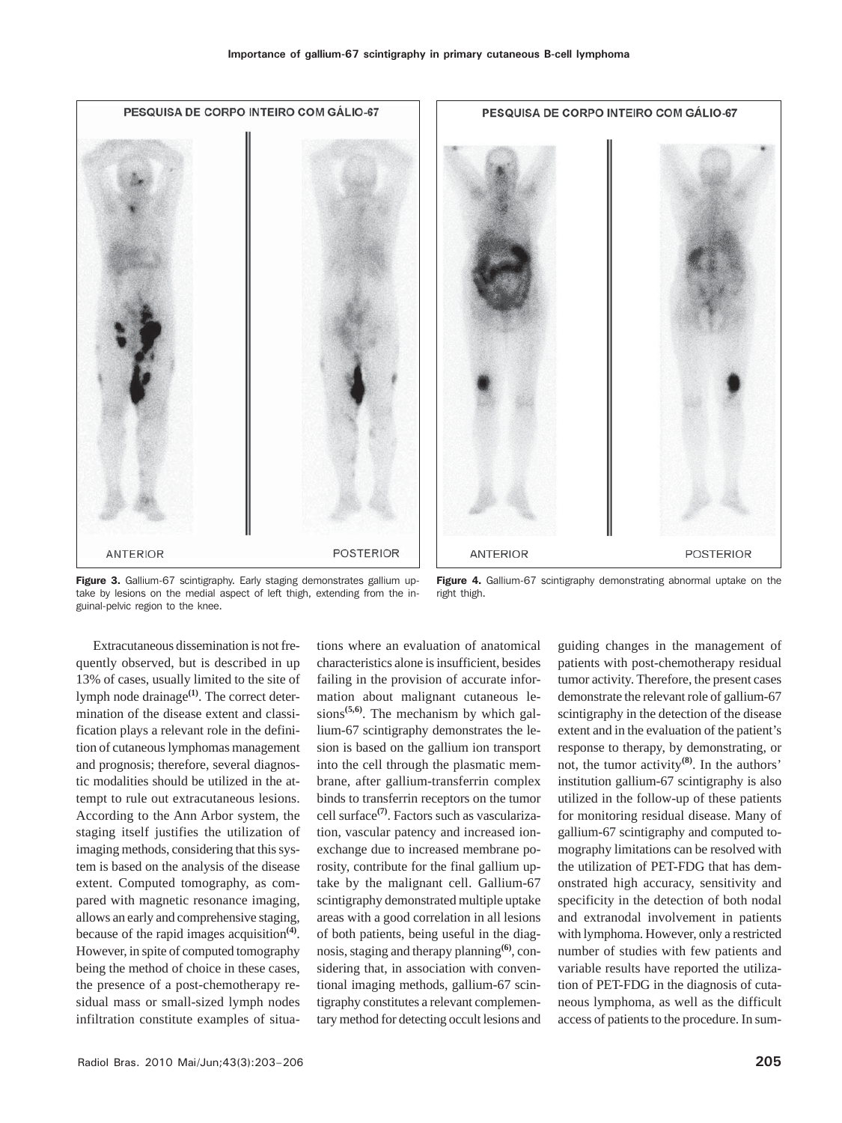

Figure 3. Gallium-67 scintigraphy. Early staging demonstrates gallium uptake by lesions on the medial aspect of left thigh, extending from the inguinal-pelvic region to the knee.

Figure 4. Gallium-67 scintigraphy demonstrating abnormal uptake on the right thigh.

Extracutaneous dissemination is not frequently observed, but is described in up 13% of cases, usually limited to the site of lymph node drainage<sup>(1)</sup>. The correct determination of the disease extent and classification plays a relevant role in the definition of cutaneous lymphomas management and prognosis; therefore, several diagnostic modalities should be utilized in the attempt to rule out extracutaneous lesions. According to the Ann Arbor system, the staging itself justifies the utilization of imaging methods, considering that this system is based on the analysis of the disease extent. Computed tomography, as compared with magnetic resonance imaging, allows an early and comprehensive staging, because of the rapid images acquisition**(4)**. However, in spite of computed tomography being the method of choice in these cases, the presence of a post-chemotherapy residual mass or small-sized lymph nodes infiltration constitute examples of situa-

tions where an evaluation of anatomical characteristics alone is insufficient, besides failing in the provision of accurate information about malignant cutaneous lesions**(5,6)**. The mechanism by which gallium-67 scintigraphy demonstrates the lesion is based on the gallium ion transport into the cell through the plasmatic membrane, after gallium-transferrin complex binds to transferrin receptors on the tumor cell surface**(7)**. Factors such as vascularization, vascular patency and increased ionexchange due to increased membrane porosity, contribute for the final gallium uptake by the malignant cell. Gallium-67 scintigraphy demonstrated multiple uptake areas with a good correlation in all lesions of both patients, being useful in the diagnosis, staging and therapy planning**(6)**, considering that, in association with conventional imaging methods, gallium-67 scintigraphy constitutes a relevant complementary method for detecting occult lesions and

guiding changes in the management of patients with post-chemotherapy residual tumor activity. Therefore, the present cases demonstrate the relevant role of gallium-67 scintigraphy in the detection of the disease extent and in the evaluation of the patient's response to therapy, by demonstrating, or not, the tumor activity**(8)**. In the authors' institution gallium-67 scintigraphy is also utilized in the follow-up of these patients for monitoring residual disease. Many of gallium-67 scintigraphy and computed tomography limitations can be resolved with the utilization of PET-FDG that has demonstrated high accuracy, sensitivity and specificity in the detection of both nodal and extranodal involvement in patients with lymphoma. However, only a restricted number of studies with few patients and variable results have reported the utilization of PET-FDG in the diagnosis of cutaneous lymphoma, as well as the difficult access of patients to the procedure. In sum